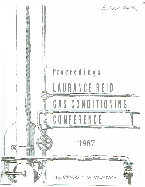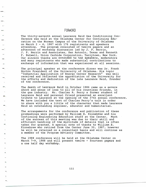## FORWORD

The thirty-seventh annual Laurance Reid Gas Conditioning Conference was held at the Oklahoma Center for Continuing Education on the Norman Campus of the University of Oklahoma on March  $2 - 4$ , 1987 with 176 registrants and speakers attending. The program consisted of twelve papers and an afternoon of workshop discussion led by J. P. Herrin, J. P. Herrin and Associates, San Antonio, Texas and Kenneth F. Butwell, Union Carbide Corporation, Tarrytown, New York. Our sincere thanks are extended to the speakers, moderators and many registrants who made substantial contributions to exchange of information that was experienced at all sessions.

The principal speaker at the conference dinner was Dr. Frank Horton President of the University of Oklahoma. His topic "Industrial Application of Energy Center Research" was well received and reflected the appreciation of the University for the efforts and dedication of the late Laurance Reid, founder of the conference.

÷

 $\sim$ 

 $\mathcal{D}_{2}$ 

The death of Laurance Reid in October 1986 came as a severe shock and sense of loss to all of his countless friends, in the gas industry. Mr. Charles R. Perry a former student of Laurance Reid and personal friend presented an excellent tribute to Laurance at the opening of the 37th annual conference. We have included the text of Charles Perry's talk in order to share with you a little of the character that made Laurance Reid an outstanding engineer, educator and humanitarian.

The arrangements for the conference and publication of these prodeedings were performed by William E. Kinnebrew and his<br>Continuing Engineering Education staff at the Center. Much Continuing Engineering Education staff at the Center. of the success of this meeting was due to their skill and efficient handling of the multitude of details that is often taken for granted. A special note of thanks to William E. Kinnebrew who retired from the Center June 30, 1987, however he will be retained on a consultant basis and will continue as a member of the Program Advisory Committee.

The 1988 conference will be held at the Oklahoma Center on March 7-9, 1988 and will present twelve - fourteen papers and a one half day workshop.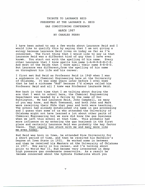## TRIBUTE TO LAURANCE REID PRESENTED AT THE LAURANCE S. REID GAS CONDITIONING CONFERENCE

## MARCH 1987

## BY CHARLES PERRY

I have been asked to say a few words about Laurance Reid and I would like to qualify this by saying that I am not giving a eulogy because Laurance Reid lives on today as far as I'm concerned. The first thing that I would like to say is that Laurance Reid was a different kind of guy than I have ever known. You start out with the spelling of his name. Every other Laurance that I know spells him name L-A-W-R-E-N-C-E. And most of the Reids that I know spell their name R-E-E-D. But Laurance was different, from the spelling of his name<br>on throughout his life and his career. on throughout his life and his career.

I first met Bud Reid as Professor Reid in 1949 when I was a sophomore in Chemical Engineering here at the University of Oklahoma. It was some years later before I even knew that he had a nickname "Bud" because I'd always called him Professor Reid and all I knew was Professor Laurance Reid.

Now back in that time that I am talking about during the era that I went to school here, the Chemical Engineering Department was headed by a fellow by the name of Doc Huntington. We had Laurance Reid, John Campbell, as many of you may know, and Mark Townsend, and both John and Mark were receiving their PhDs that year and both were teaching. The school had already established its name in gas processing and I guess that some of us who attended the University of Oklahoma might not have learned a lot about other parts of Chemical Engineering but we sure did know the gas business when we left this school at that time. This probably had more influence on my entering the gas business in the first place and certainly Laurance Reid was probably the key factor there. That legacy has stuck with me and many more like me even today.

Bud Reid was born in Iowa, he attended Rice University for a short period of time, and then he received his Bachelor's Degree at Iowa State in 1931. He worked some in between and then he received his Masters at the University of Oklahoma in 1937. Now early in his career, and I'm talking about prior to World War II, Bud became very interested in deep high pressure gas condensate reservoirs. As a result he became concerned about the hydrate formations which you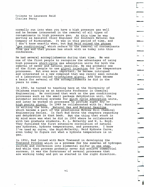**normally run into when you have a high pressure gas well and he became interested in the removal of all types of contaminants in high pressure gas. At this time he was serving as Assistnt Chier Engineer for Southern Natural Gas Company of Birmingham. It was in this period of time, and I don't know exactly when, but Bud Reid coined the phrase "gas conditioning" which refers to the removal of contaminants from gas and that phrase has stuck with us today into this conference.** 

-

-

-

<u>a - André André André André André André André André André André André André André André André André André André André André André André André André André André André André André André André André André André André André A</u>  $\overline{\phantom{0}}$ 

----

-

-

 $\overline{\phantom{a}}$ 

-

-

 $\epsilon$ 

-

,.-; I ·-

**He had several accomplishments during that time. He was one of the first people to recognize the advantages of using high pressure short-cycle gas adsorption units for both the removal of water and natural gasoline. He was probably one of the first people to use glycol injection for low temperature processes. But even more important, he became intrigued and interested in a new compound that was rarely seen outside of a laboratory called triethylene glyco�. And that became a basis for several of the accomplishments he did in the years to come.** 

**In 1940, he turned to teaching here at the University of Oklahoma starting as an Associate Professor in Chemical Engineering. He continued that work on the gas conditioning processes such as the small package dehydration unit, the automatic switching systems for quick cycle adsorption units, and later he worked on processes to provide super dry or high purity glycol. In 1949 he collaborated with Dr. Huntington in writing the book, Natural Gas and Natural Gasoline which became a part of the prestigious McGraw Hill Chemical Engineering Series. In fact Bud wrote the chapters regarding gas dehydration in that book. But the thing that stuck in my mind more was what he did in 1950 where he collaborated with two graduate students, E. L. McCarthy and W. L. Boyd. They furnished the first extensive correlation of natural gas hydrates, hydrate temperatures, and pressures. I know I've used my curve, the Boyd,McCarthy, Reid Hydrate Curve, even today to figure out what a hydrate temperature is in gas.** 

**In 1952, Bud joined with Mark Townsend in developing the Townsend Process which is a process for the removal of hydrogen sulfide and conversion into elemental sulfur in one step. And while that process probably never did achieve commercial success, it was the forerunner of several processes that are working today and got us started in the right direction.**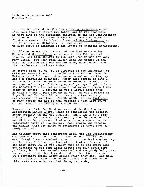In 1951, he founded the Gas Conditioning Conference which I'll talk about a little bit later, but he was described at that time as the permanent chairman of the Gas Conditioning Conference. in 1951 through 1956 he formed and became the first chairman of the School of Natural Gas Engineering at the University of Oklahoma. He doubled up in '55 and '56 to also serve as chairman of the School of Chemical Engineering.

In 1969 he became the chairman of the Southwestern Gas Measurement Short Course which was in its 45th year at that time and had been chaired by the late Dean Carson for many many years. But when Dean Carson died Bud picked up the ball and carried that one too for many, many years. And that conference continues today.

He served from '57 to '61 as Director of the University of Oklahoma Research Park. Then in 1969 he retired from the University of Oklahoma and became a consultant setting up his own consulting business. After that period of time I had many business ventures where we worked with Bud, joint ventures and things of this type, and perhaps I got to know him personally a lot better than I had known him when I was going to school. I thought he was a little aloof then he wasn't - but I just thought he was. He was a member of Sigma X:i and Tau Beta Pi (which were the two honorary engineering fraternities), AIChE, AIME. He has <u>published</u> so many papers and has so many patents I just lost count of them when I was trying to figure that out.

However, in 1970, Bud Reid was awarded the Gas Processors Association Hanlon Award, which is considered the highest honor possible in the gas industry, and I think it's significant (I was there at that meeting when he received that award) that Bud received it at a relatively young age and relatively early in his career. Most people who receive the Hanlon Award are right at retirement or maybe have already retired.

And talking about this conference here, the Gas Conditioning Conference - as I mentioned, it was founded in 1951 and, even though I was a student, a senior in chemical engineering at the time, I did not participate in that conference. I did hear about it. It was really just an ad hoc group that got together to bat some ideas around and talk about some problems, but it was so well received and everybody had gotten so much out of it that they decided at that time to make it a permanent affair every spring which they did. Bud Reid had two criteria that I've heard him say many times about this conference which carried through to today: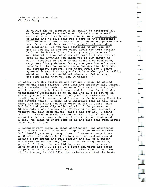> He wanted the conference to be small; he preferred 200 or fewer people in attendance. He felt that a small conference had a much better chance for a free exchange of ideas and he felt that was a part of the conference the exchange of actual experiences, ideas and particularly new ideas - and there would be no official recording of questions. If you have something to say you can get up and say it and not worry about the word getting back to the home office of what you might have said. And basically I've heard him say several times "you're free to say anything you think you're big enough to say." Needless to say over the years I've seen many, many very lively debates during the question and answer session of this conference where one guy over here would say something, somebody over there would say I don't agree with you, I think you don't know what you're talking about and - boy it would get started. But we would get some ideas that way and it worked.

In early 1970 Bud called me one day and I think he called some of the other fellows, Gene Goar and probably Bill Pearce, and I remember his words to me were "You know, I've figured out I'm not going to live forever and I'd like for this Gas Conditioning Conference to go on and I'd like to set up an Advisory Board to assure continuity of the conference." I readily agreed to serve and did serve on the Advisory Committee for several years. I think it's important that up till this time, and this thing had been going on for 20 years, that Bud Reid had personally solicited all of the papers, set up the entire conference, got everything himself personally without any help from anyone, didn't ask for it. I think all of us who were asked to come on that original advisory committee felt it was high time that, if it was that good a deal, we ought to share some of it and pass that work around among us so we did.

I remember many times in these conferences, the conference would open with a sort of basic paper on dehydration which Bud himself gave many, many times. I remember many times on Sunday night about 9:00 o'clock we'd be sitting around having a few drinks and bull session and all of a sudden Bud would get up and say, "well, I've got to go write my paper." I thought he was kidding about it but he wasn't; he'd go home at 9:00 or 10:00 o'clock and write his paper to present the next morning and he'd give a good one. But that's the way he felt like the conference worked the best;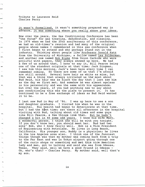-.

 $\sim$ ≒

 $\mathcal{R}_{\rm eff}$ 

--

-.

**it wasn't formalized, it wasn't something prepared way in advance, it was something where you really share your ideas.** 

**Now over the years, the Gas Conditioning Conference has been "the forum" for gas treating, dehydration, and cleaning. In 1976 when we had the 25th anniversary of this conference, we had an old-timer's reunion and had many of the original people whose names I remembered in this gas conference when I first began to attend and who perhaps stand out in the industry. Thinking about people like Professor Donald Katz from the University of Michigan, a fellow named Les Polderman, and another one named Bob Blake from Union Carbide who were prolific with papers, they always showed up here. We had a few of us around that, I hate to say it, Bill Pearce being one of the standout originals at that time; Jack Dingman, I saw him this morning, Jack's been here every time I can remember coming. So there are some of us that I'm afraid are still around. Several have hair as white as mine, but that was a thing that always irritated us the- most about· Bud Reid, his hair was as black the day that I last saw him as the day we first met. And somehow he was almost ageless in his personality and was the same with his appearance. but over the years, if you had anything new to say about gas conditioning this was the place to present it. It has continued to be a free exchange of ideas as Bud Reid wanted it to be.** 

**I last saw Bud in May of** '86. I **was up here to see a son and daughter graduate. I visited him when he was in the hospital. His health had begun to deteriorate at that time. but I had the b�st time; sat there all afternoon in the hospital visiting with Bud, talking about old times and some guys like Bill Pearce,** a **few things like** that. **But he hadn't changed a bit in 40 some odd years. I know his wife Mary, a wonderful person. I think she will be with you tonight. If you don't know her, you should meet her. Bud had two sons' Bob, who I know fairly well. Bob is a Vice President of Engineering with Petrolane. He lives in Long Beach, California. His younger son, Buddy is a physician; he lives in the Los Angeles area also. I think one of the funniest**  things though was that my mother was coming back from a trip **to the Far East and was in Tokyo airport going through one of the curio shops or something and** met this **nice American lady and man, got to talking and said she was from Odessa, Texas. They said, well we have a good friend in Odessa - Oh, who's that? - Charles Perry. My mother said, well that's my son.**